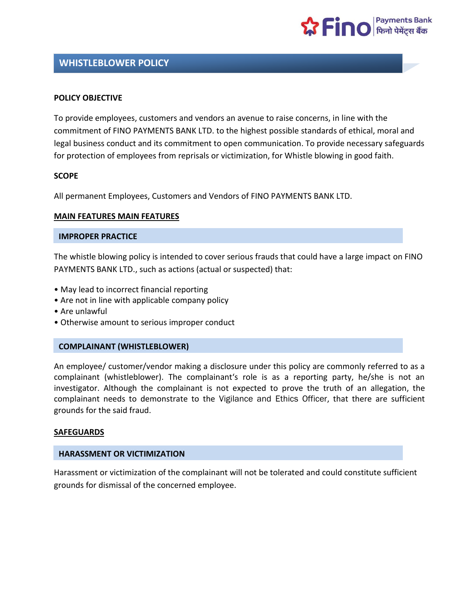

# **WHISTLEBLOWER POLICY**

#### **POLICY OBJECTIVE**

To provide employees, customers and vendors an avenue to raise concerns, in line with the commitment of FINO PAYMENTS BANK LTD. to the highest possible standards of ethical, moral and legal business conduct and its commitment to open communication. To provide necessary safeguards for protection of employees from reprisals or victimization, for Whistle blowing in good faith.

#### **SCOPE**

All permanent Employees, Customers and Vendors of FINO PAYMENTS BANK LTD.

#### **MAIN FEATURES MAIN FEATURES**

#### **IMPROPER PRACTICE**

The whistle blowing policy is intended to cover serious frauds that could have a large impact on FINO PAYMENTS BANK LTD., such as actions (actual or suspected) that:

- May lead to incorrect financial reporting
- Are not in line with applicable company policy
- Are unlawful
- Otherwise amount to serious improper conduct

### **COMPLAINANT (WHISTLEBLOWER)**

An employee/ customer/vendor making a disclosure under this policy are commonly referred to as a complainant (whistleblower). The complainant's role is as a reporting party, he/she is not an investigator. Although the complainant is not expected to prove the truth of an allegation, the complainant needs to demonstrate to the Vigilance and Ethics Officer, that there are sufficient grounds for the said fraud.

#### **SAFEGUARDS**

#### **HARASSMENT OR VICTIMIZATION**

Harassment or victimization of the complainant will not be tolerated and could constitute sufficient grounds for dismissal of the concerned employee.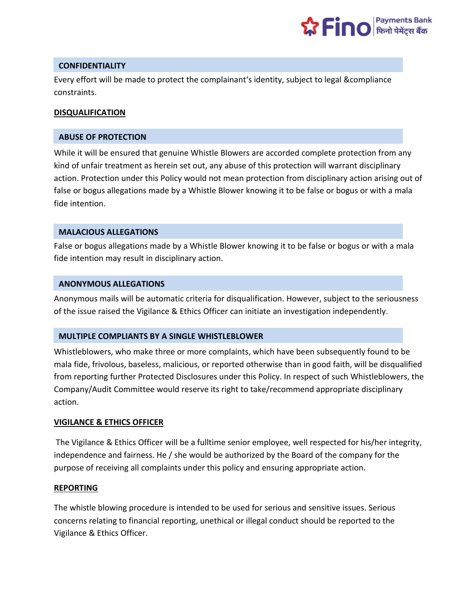

## **CONFIDENTIALITY**

Every effort will be made to protect the complainant's identity, subject to legal &compliance constraints.

### **DISQUALIFICATION**

### **ABUSE OF PROTECTION**

While it will be ensured that genuine Whistle Blowers are accorded complete protection from any kind of unfair treatment as herein set out, any abuse of this protection will warrant disciplinary action. Protection under this Policy would not mean protection from disciplinary action arising out of false or bogus allegations made by a Whistle Blower knowing it to be false or bogus or with a mala fide intention.

## **MALACIOUS ALLEGATIONS**

False or bogus allegations made by a Whistle Blower knowing it to be false or bogus or with a mala fide intention may result in disciplinary action.

## **ANONYMOUS ALLEGATIONS**

Anonymous mails will be automatic criteria for disqualification. However, subject to the seriousness of the issue raised the Vigilance & Ethics Officer can initiate an investigation independently.

## **MULTIPLE COMPLIANTS BY A SINGLE WHISTLEBLOWER**

Whistleblowers, who make three or more complaints, which have been subsequently found to be mala fide, frivolous, baseless, malicious, or reported otherwise than in good faith, will be disqualified from reporting further Protected Disclosures under this Policy. In respect of such Whistleblowers, the Company/Audit Committee would reserve its right to take/recommend appropriate disciplinary action.

## **VIGILANCE & ETHICS OFFICER**

The Vigilance & Ethics Officer will be a fulltime senior employee, well respected for his/her integrity, independence and fairness. He / she would be authorized by the Board of the company for the purpose of receiving all complaints under this policy and ensuring appropriate action.

#### **REPORTING**

The whistle blowing procedure is intended to be used for serious and sensitive issues. Serious concerns relating to financial reporting, unethical or illegal conduct should be reported to the Vigilance & Ethics Officer.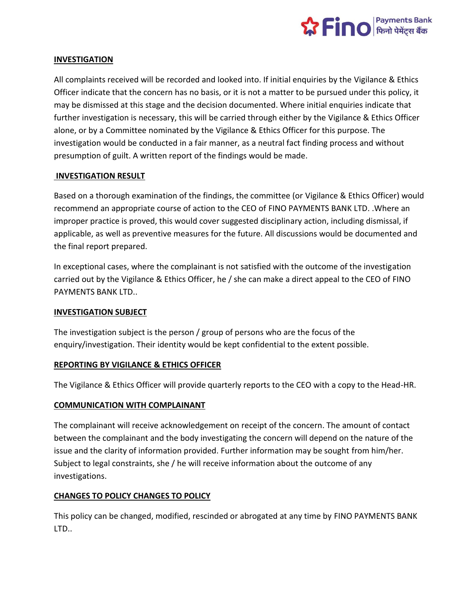

## **INVESTIGATION**

All complaints received will be recorded and looked into. If initial enquiries by the Vigilance & Ethics Officer indicate that the concern has no basis, or it is not a matter to be pursued under this policy, it may be dismissed at this stage and the decision documented. Where initial enquiries indicate that further investigation is necessary, this will be carried through either by the Vigilance & Ethics Officer alone, or by a Committee nominated by the Vigilance & Ethics Officer for this purpose. The investigation would be conducted in a fair manner, as a neutral fact finding process and without presumption of guilt. A written report of the findings would be made.

## **INVESTIGATION RESULT**

Based on a thorough examination of the findings, the committee (or Vigilance & Ethics Officer) would recommend an appropriate course of action to the CEO of FINO PAYMENTS BANK LTD. .Where an improper practice is proved, this would cover suggested disciplinary action, including dismissal, if applicable, as well as preventive measures for the future. All discussions would be documented and the final report prepared.

In exceptional cases, where the complainant is not satisfied with the outcome of the investigation carried out by the Vigilance & Ethics Officer, he / she can make a direct appeal to the CEO of FINO PAYMENTS BANK LTD..

#### **INVESTIGATION SUBJECT**

The investigation subject is the person / group of persons who are the focus of the enquiry/investigation. Their identity would be kept confidential to the extent possible.

#### **REPORTING BY VIGILANCE & ETHICS OFFICER**

The Vigilance & Ethics Officer will provide quarterly reports to the CEO with a copy to the Head-HR.

## **COMMUNICATION WITH COMPLAINANT**

The complainant will receive acknowledgement on receipt of the concern. The amount of contact between the complainant and the body investigating the concern will depend on the nature of the issue and the clarity of information provided. Further information may be sought from him/her. Subject to legal constraints, she / he will receive information about the outcome of any investigations.

## **CHANGES TO POLICY CHANGES TO POLICY**

This policy can be changed, modified, rescinded or abrogated at any time by FINO PAYMENTS BANK LTD..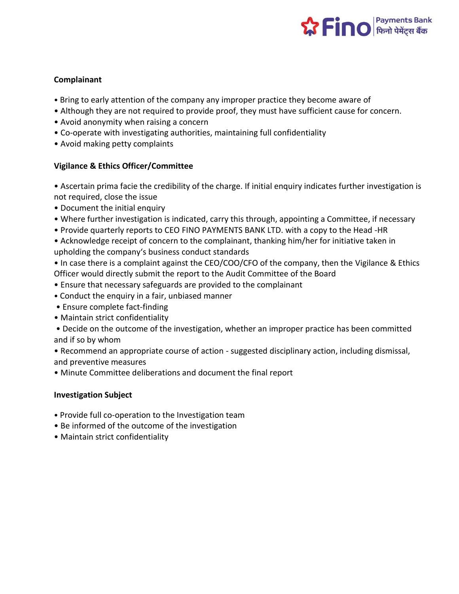

## **Complainant**

- Bring to early attention of the company any improper practice they become aware of
- Although they are not required to provide proof, they must have sufficient cause for concern.
- Avoid anonymity when raising a concern
- Co-operate with investigating authorities, maintaining full confidentiality
- Avoid making petty complaints

## **Vigilance & Ethics Officer/Committee**

• Ascertain prima facie the credibility of the charge. If initial enquiry indicates further investigation is not required, close the issue

- Document the initial enquiry
- Where further investigation is indicated, carry this through, appointing a Committee, if necessary
- Provide quarterly reports to CEO FINO PAYMENTS BANK LTD. with a copy to the Head -HR

• Acknowledge receipt of concern to the complainant, thanking him/her for initiative taken in upholding the company's business conduct standards

• In case there is a complaint against the CEO/COO/CFO of the company, then the Vigilance & Ethics Officer would directly submit the report to the Audit Committee of the Board

- Ensure that necessary safeguards are provided to the complainant
- Conduct the enquiry in a fair, unbiased manner
- Ensure complete fact-finding
- Maintain strict confidentiality

• Decide on the outcome of the investigation, whether an improper practice has been committed and if so by whom

• Recommend an appropriate course of action - suggested disciplinary action, including dismissal, and preventive measures

• Minute Committee deliberations and document the final report

## **Investigation Subject**

- Provide full co-operation to the Investigation team
- Be informed of the outcome of the investigation
- Maintain strict confidentiality